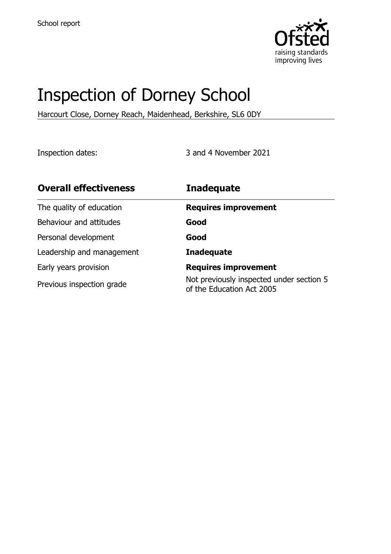

# Inspection of Dorney School

Harcourt Close, Dorney Reach, Maidenhead, Berkshire, SL6 0DY

Inspection dates: 3 and 4 November 2021

| <b>Overall effectiveness</b> | <b>Inadequate</b>                                                     |
|------------------------------|-----------------------------------------------------------------------|
| The quality of education     | <b>Requires improvement</b>                                           |
| Behaviour and attitudes      | Good                                                                  |
| Personal development         | Good                                                                  |
| Leadership and management    | <b>Inadequate</b>                                                     |
| Early years provision        | <b>Requires improvement</b>                                           |
| Previous inspection grade    | Not previously inspected under section 5<br>of the Education Act 2005 |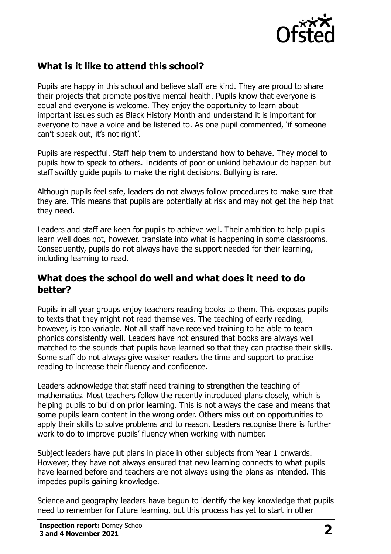

# **What is it like to attend this school?**

Pupils are happy in this school and believe staff are kind. They are proud to share their projects that promote positive mental health. Pupils know that everyone is equal and everyone is welcome. They enjoy the opportunity to learn about important issues such as Black History Month and understand it is important for everyone to have a voice and be listened to. As one pupil commented, 'if someone can't speak out, it's not right'.

Pupils are respectful. Staff help them to understand how to behave. They model to pupils how to speak to others. Incidents of poor or unkind behaviour do happen but staff swiftly guide pupils to make the right decisions. Bullying is rare.

Although pupils feel safe, leaders do not always follow procedures to make sure that they are. This means that pupils are potentially at risk and may not get the help that they need.

Leaders and staff are keen for pupils to achieve well. Their ambition to help pupils learn well does not, however, translate into what is happening in some classrooms. Consequently, pupils do not always have the support needed for their learning, including learning to read.

#### **What does the school do well and what does it need to do better?**

Pupils in all year groups enjoy teachers reading books to them. This exposes pupils to texts that they might not read themselves. The teaching of early reading, however, is too variable. Not all staff have received training to be able to teach phonics consistently well. Leaders have not ensured that books are always well matched to the sounds that pupils have learned so that they can practise their skills. Some staff do not always give weaker readers the time and support to practise reading to increase their fluency and confidence.

Leaders acknowledge that staff need training to strengthen the teaching of mathematics. Most teachers follow the recently introduced plans closely, which is helping pupils to build on prior learning. This is not always the case and means that some pupils learn content in the wrong order. Others miss out on opportunities to apply their skills to solve problems and to reason. Leaders recognise there is further work to do to improve pupils' fluency when working with number.

Subject leaders have put plans in place in other subjects from Year 1 onwards. However, they have not always ensured that new learning connects to what pupils have learned before and teachers are not always using the plans as intended. This impedes pupils gaining knowledge.

Science and geography leaders have begun to identify the key knowledge that pupils need to remember for future learning, but this process has yet to start in other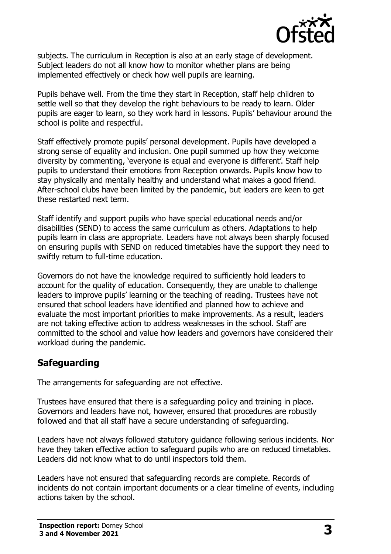

subjects. The curriculum in Reception is also at an early stage of development. Subject leaders do not all know how to monitor whether plans are being implemented effectively or check how well pupils are learning.

Pupils behave well. From the time they start in Reception, staff help children to settle well so that they develop the right behaviours to be ready to learn. Older pupils are eager to learn, so they work hard in lessons. Pupils' behaviour around the school is polite and respectful.

Staff effectively promote pupils' personal development. Pupils have developed a strong sense of equality and inclusion. One pupil summed up how they welcome diversity by commenting, 'everyone is equal and everyone is different'. Staff help pupils to understand their emotions from Reception onwards. Pupils know how to stay physically and mentally healthy and understand what makes a good friend. After-school clubs have been limited by the pandemic, but leaders are keen to get these restarted next term.

Staff identify and support pupils who have special educational needs and/or disabilities (SEND) to access the same curriculum as others. Adaptations to help pupils learn in class are appropriate. Leaders have not always been sharply focused on ensuring pupils with SEND on reduced timetables have the support they need to swiftly return to full-time education.

Governors do not have the knowledge required to sufficiently hold leaders to account for the quality of education. Consequently, they are unable to challenge leaders to improve pupils' learning or the teaching of reading. Trustees have not ensured that school leaders have identified and planned how to achieve and evaluate the most important priorities to make improvements. As a result, leaders are not taking effective action to address weaknesses in the school. Staff are committed to the school and value how leaders and governors have considered their workload during the pandemic.

### **Safeguarding**

The arrangements for safeguarding are not effective.

Trustees have ensured that there is a safeguarding policy and training in place. Governors and leaders have not, however, ensured that procedures are robustly followed and that all staff have a secure understanding of safeguarding.

Leaders have not always followed statutory guidance following serious incidents. Nor have they taken effective action to safeguard pupils who are on reduced timetables. Leaders did not know what to do until inspectors told them.

Leaders have not ensured that safeguarding records are complete. Records of incidents do not contain important documents or a clear timeline of events, including actions taken by the school.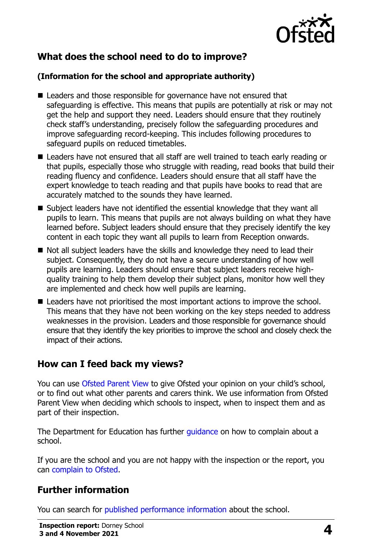

# **What does the school need to do to improve?**

#### **(Information for the school and appropriate authority)**

- **E** Leaders and those responsible for governance have not ensured that safeguarding is effective. This means that pupils are potentially at risk or may not get the help and support they need. Leaders should ensure that they routinely check staff's understanding, precisely follow the safeguarding procedures and improve safeguarding record-keeping. This includes following procedures to safeguard pupils on reduced timetables.
- Leaders have not ensured that all staff are well trained to teach early reading or that pupils, especially those who struggle with reading, read books that build their reading fluency and confidence. Leaders should ensure that all staff have the expert knowledge to teach reading and that pupils have books to read that are accurately matched to the sounds they have learned.
- Subject leaders have not identified the essential knowledge that they want all pupils to learn. This means that pupils are not always building on what they have learned before. Subject leaders should ensure that they precisely identify the key content in each topic they want all pupils to learn from Reception onwards.
- Not all subject leaders have the skills and knowledge they need to lead their subject. Consequently, they do not have a secure understanding of how well pupils are learning. Leaders should ensure that subject leaders receive highquality training to help them develop their subject plans, monitor how well they are implemented and check how well pupils are learning.
- Leaders have not prioritised the most important actions to improve the school. This means that they have not been working on the key steps needed to address weaknesses in the provision. Leaders and those responsible for governance should ensure that they identify the key priorities to improve the school and closely check the impact of their actions.

### **How can I feed back my views?**

You can use [Ofsted Parent View](http://parentview.ofsted.gov.uk/) to give Ofsted your opinion on your child's school, or to find out what other parents and carers think. We use information from Ofsted Parent View when deciding which schools to inspect, when to inspect them and as part of their inspection.

The Department for Education has further *quidance* on how to complain about a school.

If you are the school and you are not happy with the inspection or the report, you can [complain to Ofsted.](http://www.gov.uk/complain-ofsted-report)

# **Further information**

You can search for [published performance information](http://www.compare-school-performance.service.gov.uk/) about the school.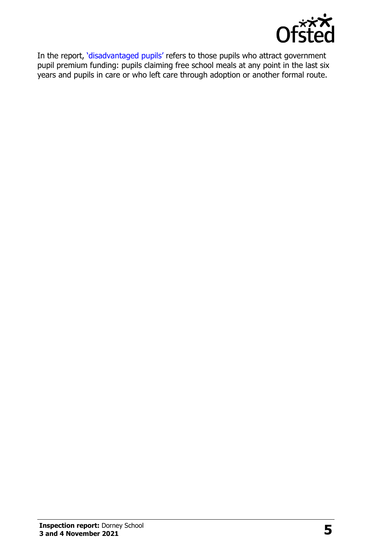

In the report, '[disadvantaged pupils](http://www.gov.uk/guidance/pupil-premium-information-for-schools-and-alternative-provision-settings)' refers to those pupils who attract government pupil premium funding: pupils claiming free school meals at any point in the last six years and pupils in care or who left care through adoption or another formal route.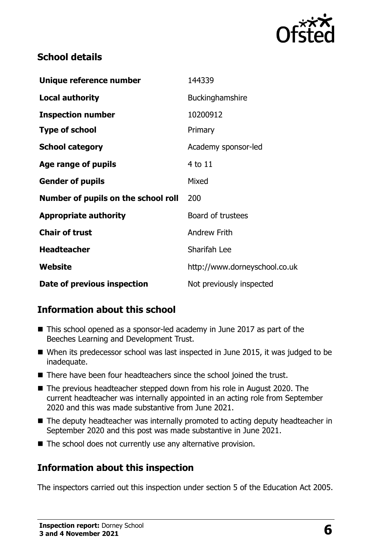

# **School details**

| Unique reference number             | 144339                        |
|-------------------------------------|-------------------------------|
| <b>Local authority</b>              | Buckinghamshire               |
| <b>Inspection number</b>            | 10200912                      |
| <b>Type of school</b>               | Primary                       |
| <b>School category</b>              | Academy sponsor-led           |
| Age range of pupils                 | 4 to 11                       |
| <b>Gender of pupils</b>             | Mixed                         |
| Number of pupils on the school roll | 200                           |
| <b>Appropriate authority</b>        | Board of trustees             |
| <b>Chair of trust</b>               | <b>Andrew Frith</b>           |
| <b>Headteacher</b>                  | Sharifah Lee                  |
| Website                             | http://www.dorneyschool.co.uk |
| Date of previous inspection         | Not previously inspected      |

# **Information about this school**

- This school opened as a sponsor-led academy in June 2017 as part of the Beeches Learning and Development Trust.
- When its predecessor school was last inspected in June 2015, it was judged to be inadequate.
- There have been four headteachers since the school joined the trust.
- The previous headteacher stepped down from his role in August 2020. The current headteacher was internally appointed in an acting role from September 2020 and this was made substantive from June 2021.
- The deputy headteacher was internally promoted to acting deputy headteacher in September 2020 and this post was made substantive in June 2021.
- The school does not currently use any alternative provision.

# **Information about this inspection**

The inspectors carried out this inspection under section 5 of the Education Act 2005.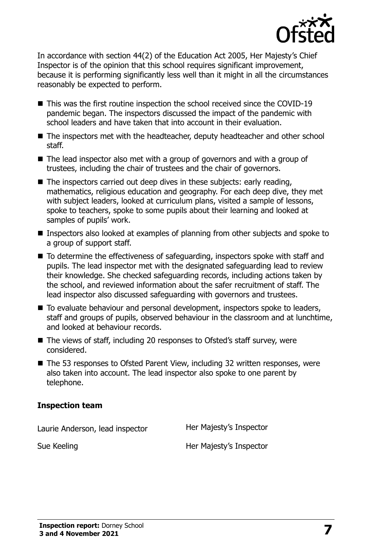

In accordance with section 44(2) of the Education Act 2005, Her Majesty's Chief Inspector is of the opinion that this school requires significant improvement, because it is performing significantly less well than it might in all the circumstances reasonably be expected to perform.

- This was the first routine inspection the school received since the COVID-19 pandemic began. The inspectors discussed the impact of the pandemic with school leaders and have taken that into account in their evaluation.
- The inspectors met with the headteacher, deputy headteacher and other school staff.
- The lead inspector also met with a group of governors and with a group of trustees, including the chair of trustees and the chair of governors.
- $\blacksquare$  The inspectors carried out deep dives in these subjects: early reading, mathematics, religious education and geography. For each deep dive, they met with subject leaders, looked at curriculum plans, visited a sample of lessons, spoke to teachers, spoke to some pupils about their learning and looked at samples of pupils' work.
- Inspectors also looked at examples of planning from other subjects and spoke to a group of support staff.
- To determine the effectiveness of safeguarding, inspectors spoke with staff and pupils. The lead inspector met with the designated safeguarding lead to review their knowledge. She checked safeguarding records, including actions taken by the school, and reviewed information about the safer recruitment of staff. The lead inspector also discussed safeguarding with governors and trustees.
- To evaluate behaviour and personal development, inspectors spoke to leaders, staff and groups of pupils, observed behaviour in the classroom and at lunchtime, and looked at behaviour records.
- The views of staff, including 20 responses to Ofsted's staff survey, were considered.
- The 53 responses to Ofsted Parent View, including 32 written responses, were also taken into account. The lead inspector also spoke to one parent by telephone.

#### **Inspection team**

Laurie Anderson, lead inspector Her Majesty's Inspector Sue Keeling **Her Majesty's Inspector**